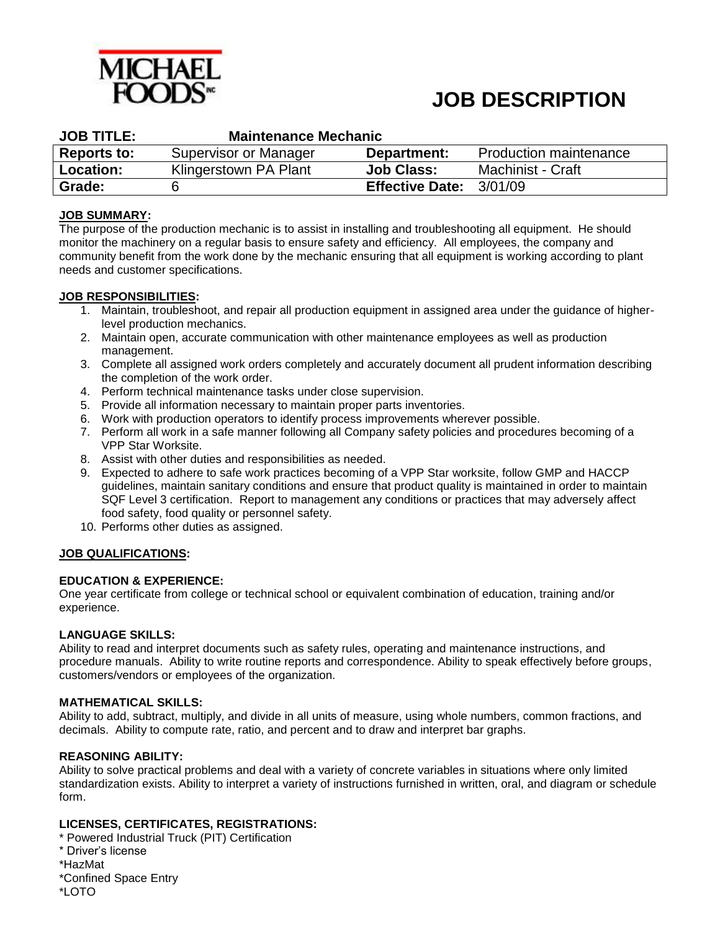

# **JOB DESCRIPTION**

| <b>JOB TITLE:</b>  | <b>Maintenance Mechanic</b> |                         |                               |  |  |  |
|--------------------|-----------------------------|-------------------------|-------------------------------|--|--|--|
| <b>Reports to:</b> | Supervisor or Manager       | Department:             | <b>Production maintenance</b> |  |  |  |
| <b>Location:</b>   | Klingerstown PA Plant       | <b>Job Class:</b>       | Machinist - Craft             |  |  |  |
| Grade:             |                             | Effective Date: 3/01/09 |                               |  |  |  |

# **JOB SUMMARY:**

The purpose of the production mechanic is to assist in installing and troubleshooting all equipment. He should monitor the machinery on a regular basis to ensure safety and efficiency. All employees, the company and community benefit from the work done by the mechanic ensuring that all equipment is working according to plant needs and customer specifications.

# **JOB RESPONSIBILITIES:**

- 1. Maintain, troubleshoot, and repair all production equipment in assigned area under the guidance of higherlevel production mechanics.
- 2. Maintain open, accurate communication with other maintenance employees as well as production management.
- 3. Complete all assigned work orders completely and accurately document all prudent information describing the completion of the work order.
- 4. Perform technical maintenance tasks under close supervision.
- 5. Provide all information necessary to maintain proper parts inventories.
- 6. Work with production operators to identify process improvements wherever possible.
- 7. Perform all work in a safe manner following all Company safety policies and procedures becoming of a VPP Star Worksite.
- 8. Assist with other duties and responsibilities as needed.
- 9. Expected to adhere to safe work practices becoming of a VPP Star worksite, follow GMP and HACCP guidelines, maintain sanitary conditions and ensure that product quality is maintained in order to maintain SQF Level 3 certification. Report to management any conditions or practices that may adversely affect food safety, food quality or personnel safety.
- 10. Performs other duties as assigned.

# **JOB QUALIFICATIONS:**

# **EDUCATION & EXPERIENCE:**

One year certificate from college or technical school or equivalent combination of education, training and/or experience.

# **LANGUAGE SKILLS:**

Ability to read and interpret documents such as safety rules, operating and maintenance instructions, and procedure manuals. Ability to write routine reports and correspondence. Ability to speak effectively before groups, customers/vendors or employees of the organization.

# **MATHEMATICAL SKILLS:**

Ability to add, subtract, multiply, and divide in all units of measure, using whole numbers, common fractions, and decimals. Ability to compute rate, ratio, and percent and to draw and interpret bar graphs.

# **REASONING ABILITY:**

Ability to solve practical problems and deal with a variety of concrete variables in situations where only limited standardization exists. Ability to interpret a variety of instructions furnished in written, oral, and diagram or schedule form.

# **LICENSES, CERTIFICATES, REGISTRATIONS:**

\* Powered Industrial Truck (PIT) Certification \* Driver's license \*HazMat \*Confined Space Entry \*LOTO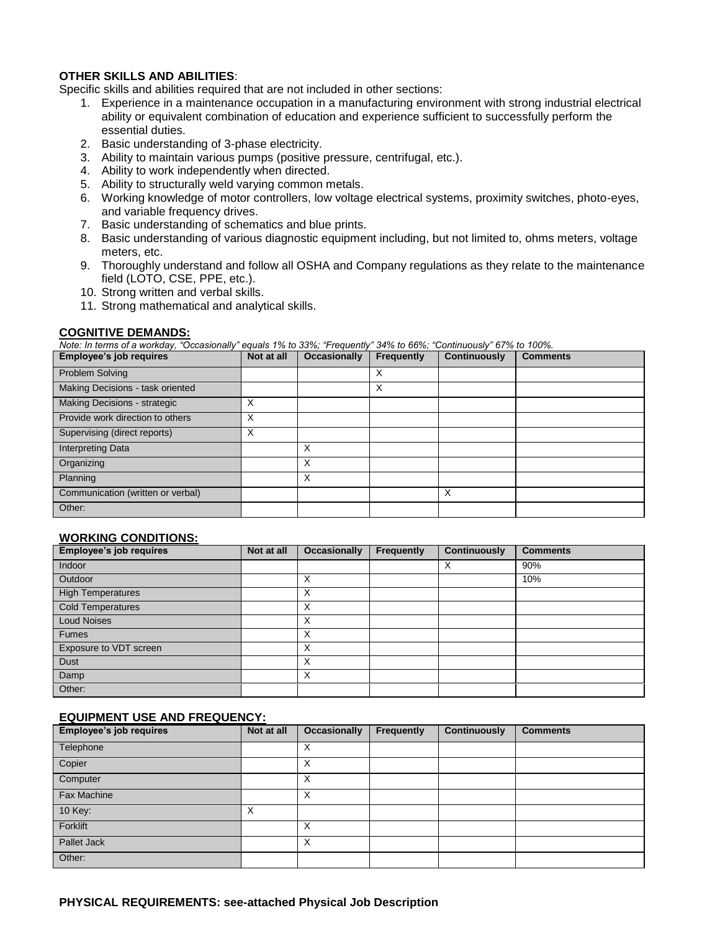# **OTHER SKILLS AND ABILITIES**:

Specific skills and abilities required that are not included in other sections:

- 1. Experience in a maintenance occupation in a manufacturing environment with strong industrial electrical ability or equivalent combination of education and experience sufficient to successfully perform the essential duties.
- 2. Basic understanding of 3-phase electricity.
- 3. Ability to maintain various pumps (positive pressure, centrifugal, etc.).
- 4. Ability to work independently when directed.
- 5. Ability to structurally weld varying common metals.
- 6. Working knowledge of motor controllers, low voltage electrical systems, proximity switches, photo-eyes, and variable frequency drives.
- 7. Basic understanding of schematics and blue prints.
- 8. Basic understanding of various diagnostic equipment including, but not limited to, ohms meters, voltage meters, etc.
- 9. Thoroughly understand and follow all OSHA and Company regulations as they relate to the maintenance field (LOTO, CSE, PPE, etc.).
- 10. Strong written and verbal skills.
- 11. Strong mathematical and analytical skills.

### **COGNITIVE DEMANDS:**

*Note: In terms of a workday, "Occasionally" equals 1% to 33%; "Frequently" 34% to 66%; "Continuously" 67% to 100%.*

| Employee's job requires           | Not at all        | <b>Occasionally</b> | Frequently | <b>Continuously</b> | <b>Comments</b> |
|-----------------------------------|-------------------|---------------------|------------|---------------------|-----------------|
| Problem Solving                   |                   |                     | X          |                     |                 |
| Making Decisions - task oriented  |                   |                     | X          |                     |                 |
| Making Decisions - strategic      | $\checkmark$<br>⌒ |                     |            |                     |                 |
| Provide work direction to others  | $\checkmark$<br>⋏ |                     |            |                     |                 |
| Supervising (direct reports)      | $\check{ }$<br>⋏  |                     |            |                     |                 |
| <b>Interpreting Data</b>          |                   | X                   |            |                     |                 |
| Organizing                        |                   | X                   |            |                     |                 |
| Planning                          |                   | X                   |            |                     |                 |
| Communication (written or verbal) |                   |                     |            | X                   |                 |
| Other:                            |                   |                     |            |                     |                 |

# **WORKING CONDITIONS:**

| <b>Employee's job requires</b> | Not at all | <b>Occasionally</b> | Frequently | <b>Continuously</b> | <b>Comments</b> |
|--------------------------------|------------|---------------------|------------|---------------------|-----------------|
| Indoor                         |            |                     |            | X                   | 90%             |
| Outdoor                        |            | X                   |            |                     | 10%             |
| <b>High Temperatures</b>       |            | X                   |            |                     |                 |
| <b>Cold Temperatures</b>       |            | X                   |            |                     |                 |
| <b>Loud Noises</b>             |            | X                   |            |                     |                 |
| <b>Fumes</b>                   |            | X                   |            |                     |                 |
| Exposure to VDT screen         |            | X                   |            |                     |                 |
| Dust                           |            | X                   |            |                     |                 |
| Damp                           |            | X                   |            |                     |                 |
| Other:                         |            |                     |            |                     |                 |

### **EQUIPMENT USE AND FREQUENCY:**

| Employee's job requires | Not at all        | <b>Occasionally</b> | Frequently | <b>Continuously</b> | <b>Comments</b> |
|-------------------------|-------------------|---------------------|------------|---------------------|-----------------|
| Telephone               |                   | х                   |            |                     |                 |
| Copier                  |                   | X                   |            |                     |                 |
| Computer                |                   | X                   |            |                     |                 |
| <b>Fax Machine</b>      |                   | X                   |            |                     |                 |
| 10 Key:                 | $\checkmark$<br>⋏ |                     |            |                     |                 |
| Forklift                |                   | X                   |            |                     |                 |
| Pallet Jack             |                   | X                   |            |                     |                 |
| Other:                  |                   |                     |            |                     |                 |